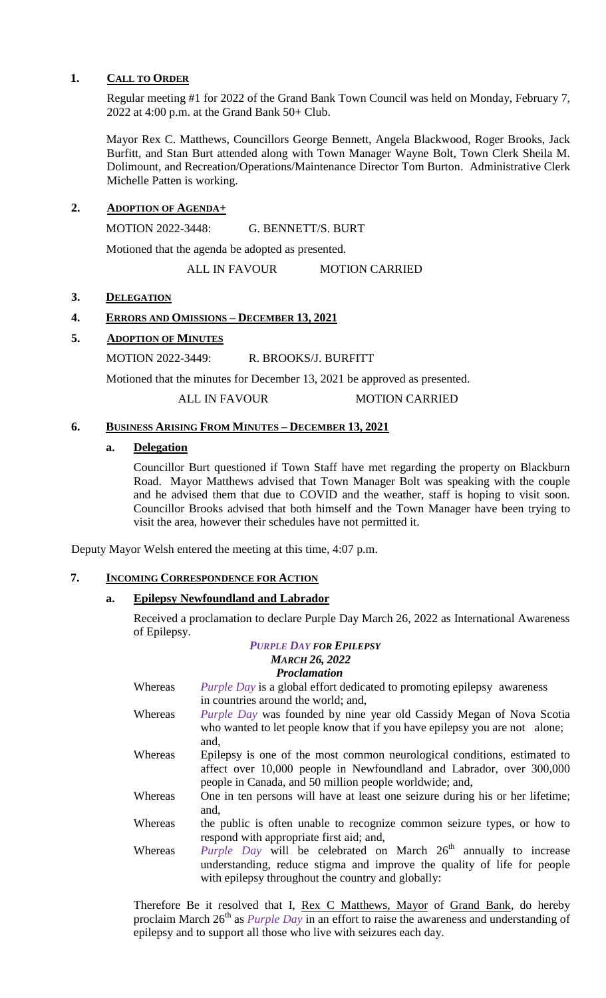### **1. CALL TO ORDER**

Regular meeting #1 for 2022 of the Grand Bank Town Council was held on Monday, February 7, 2022 at 4:00 p.m. at the Grand Bank 50+ Club.

Mayor Rex C. Matthews, Councillors George Bennett, Angela Blackwood, Roger Brooks, Jack Burfitt, and Stan Burt attended along with Town Manager Wayne Bolt, Town Clerk Sheila M. Dolimount, and Recreation/Operations/Maintenance Director Tom Burton. Administrative Clerk Michelle Patten is working.

# **2. ADOPTION OF AGENDA+**

MOTION 2022-3448: G. BENNETT/S. BURT

Motioned that the agenda be adopted as presented.

ALL IN FAVOUR MOTION CARRIED

# 3. **DELEGATION**

# **4. ERRORS AND OMISSIONS – DECEMBER 13, 2021**

# **5. ADOPTION OF MINUTES**

MOTION 2022-3449: R. BROOKS/J. BURFITT

Motioned that the minutes for December 13, 2021 be approved as presented.

ALL IN FAVOUR MOTION CARRIED

# **6. BUSINESS ARISING FROM MINUTES – DECEMBER 13, 2021**

### **a. Delegation**

Councillor Burt questioned if Town Staff have met regarding the property on Blackburn Road. Mayor Matthews advised that Town Manager Bolt was speaking with the couple and he advised them that due to COVID and the weather, staff is hoping to visit soon. Councillor Brooks advised that both himself and the Town Manager have been trying to visit the area, however their schedules have not permitted it.

Deputy Mayor Welsh entered the meeting at this time, 4:07 p.m.

# **7. INCOMING CORRESPONDENCE FOR ACTION**

# **a. Epilepsy Newfoundland and Labrador**

Received a proclamation to declare Purple Day March 26, 2022 as International Awareness of Epilepsy.

#### *PURPLE DAY FOR EPILEPSY MARCH 26, 2022 Proclamation*

| Whereas | <i>Purple Day</i> is a global effort dedicated to promoting epilepsy awareness        |
|---------|---------------------------------------------------------------------------------------|
|         | in countries around the world; and,                                                   |
| Whereas | <i>Purple Day</i> was founded by nine year old Cassidy Megan of Nova Scotia           |
|         | who wanted to let people know that if you have epilepsy you are not alone;            |
|         | and,                                                                                  |
| Whereas | Epilepsy is one of the most common neurological conditions, estimated to              |
|         | affect over 10,000 people in Newfoundland and Labrador, over 300,000                  |
|         | people in Canada, and 50 million people worldwide; and,                               |
| Whereas | One in ten persons will have at least one seizure during his or her lifetime;<br>and, |
| Whereas | the public is often unable to recognize common seizure types, or how to               |
|         | respond with appropriate first aid; and,                                              |
| Whereas | Purple Day will be celebrated on March 26 <sup>th</sup> annually to increase          |
|         | understanding, reduce stigma and improve the quality of life for people               |
|         | with epilepsy throughout the country and globally:                                    |

Therefore Be it resolved that I, Rex C Matthews, Mayor of Grand Bank, do hereby proclaim March 26<sup>th</sup> as *Purple Day* in an effort to raise the awareness and understanding of epilepsy and to support all those who live with seizures each day.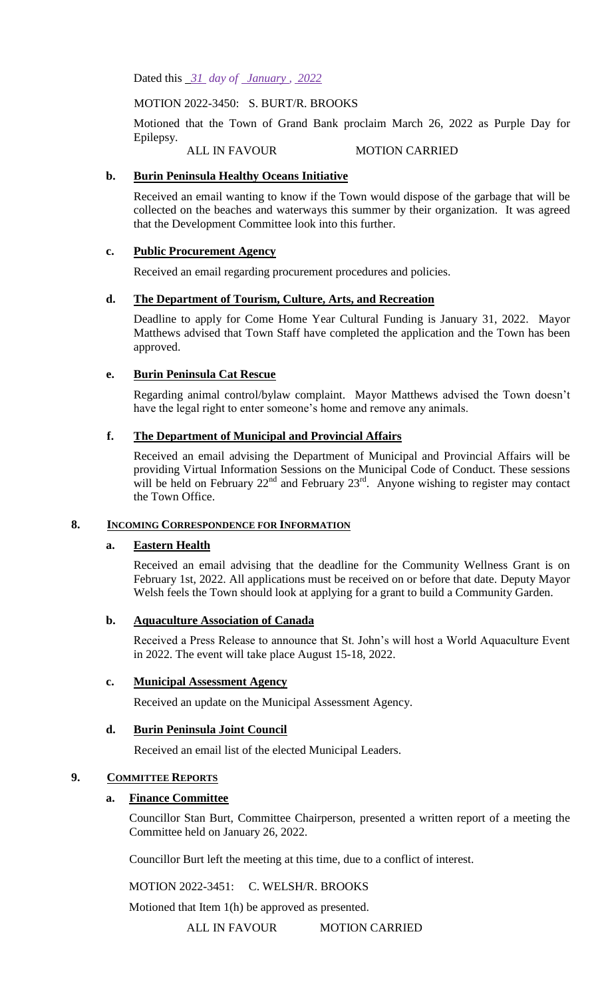Dated this *31 day of January , 2022*

MOTION 2022-3450: S. BURT/R. BROOKS

Motioned that the Town of Grand Bank proclaim March 26, 2022 as Purple Day for Epilepsy.

ALL IN FAVOUR MOTION CARRIED

# **b. Burin Peninsula Healthy Oceans Initiative**

Received an email wanting to know if the Town would dispose of the garbage that will be collected on the beaches and waterways this summer by their organization. It was agreed that the Development Committee look into this further.

# **c. Public Procurement Agency**

Received an email regarding procurement procedures and policies.

# **d. The Department of Tourism, Culture, Arts, and Recreation**

Deadline to apply for Come Home Year Cultural Funding is January 31, 2022. Mayor Matthews advised that Town Staff have completed the application and the Town has been approved.

# **e. Burin Peninsula Cat Rescue**

Regarding animal control/bylaw complaint. Mayor Matthews advised the Town doesn't have the legal right to enter someone's home and remove any animals.

# **f. The Department of Municipal and Provincial Affairs**

Received an email advising the Department of Municipal and Provincial Affairs will be providing Virtual Information Sessions on the Municipal Code of Conduct. These sessions will be held on February  $22<sup>nd</sup>$  and February  $23<sup>rd</sup>$ . Anyone wishing to register may contact the Town Office.

### **8. INCOMING CORRESPONDENCE FOR INFORMATION**

### **a. Eastern Health**

Received an email advising that the deadline for the Community Wellness Grant is on February 1st, 2022. All applications must be received on or before that date. Deputy Mayor Welsh feels the Town should look at applying for a grant to build a Community Garden.

### **b. Aquaculture Association of Canada**

Received a Press Release to announce that St. John's will host a World Aquaculture Event in 2022. The event will take place August 15-18, 2022.

### **c. Municipal Assessment Agency**

Received an update on the Municipal Assessment Agency.

# **d. Burin Peninsula Joint Council**

Received an email list of the elected Municipal Leaders.

# **9. COMMITTEE REPORTS**

### **a. Finance Committee**

Councillor Stan Burt, Committee Chairperson, presented a written report of a meeting the Committee held on January 26, 2022.

Councillor Burt left the meeting at this time, due to a conflict of interest.

MOTION 2022-3451: C. WELSH/R. BROOKS

Motioned that Item 1(h) be approved as presented.

ALL IN FAVOUR MOTION CARRIED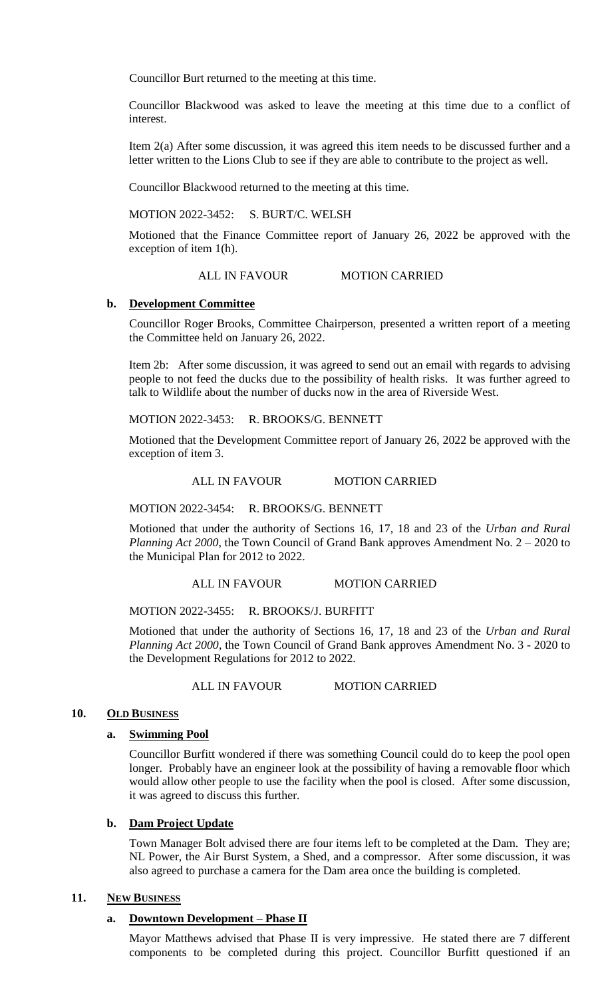Councillor Burt returned to the meeting at this time.

Councillor Blackwood was asked to leave the meeting at this time due to a conflict of interest.

Item 2(a) After some discussion, it was agreed this item needs to be discussed further and a letter written to the Lions Club to see if they are able to contribute to the project as well.

Councillor Blackwood returned to the meeting at this time.

MOTION 2022-3452: S. BURT/C. WELSH

Motioned that the Finance Committee report of January 26, 2022 be approved with the exception of item 1(h).

ALL IN FAVOUR MOTION CARRIED

#### **b. Development Committee**

Councillor Roger Brooks, Committee Chairperson, presented a written report of a meeting the Committee held on January 26, 2022.

Item 2b: After some discussion, it was agreed to send out an email with regards to advising people to not feed the ducks due to the possibility of health risks. It was further agreed to talk to Wildlife about the number of ducks now in the area of Riverside West.

MOTION 2022-3453: R. BROOKS/G. BENNETT

Motioned that the Development Committee report of January 26, 2022 be approved with the exception of item 3.

ALL IN FAVOUR MOTION CARRIED

MOTION 2022-3454: R. BROOKS/G. BENNETT

Motioned that under the authority of Sections 16, 17, 18 and 23 of the *Urban and Rural Planning Act 2000*, the Town Council of Grand Bank approves Amendment No. 2 – 2020 to the Municipal Plan for 2012 to 2022.

ALL IN FAVOUR MOTION CARRIED

#### MOTION 2022-3455: R. BROOKS/J. BURFITT

Motioned that under the authority of Sections 16, 17, 18 and 23 of the *Urban and Rural Planning Act 2000*, the Town Council of Grand Bank approves Amendment No. 3 - 2020 to the Development Regulations for 2012 to 2022.

ALL IN FAVOUR MOTION CARRIED

#### 10. OLD BUSINESS

#### **a. Swimming Pool**

Councillor Burfitt wondered if there was something Council could do to keep the pool open longer. Probably have an engineer look at the possibility of having a removable floor which would allow other people to use the facility when the pool is closed. After some discussion, it was agreed to discuss this further.

### **b. Dam Project Update**

Town Manager Bolt advised there are four items left to be completed at the Dam. They are; NL Power, the Air Burst System, a Shed, and a compressor. After some discussion, it was also agreed to purchase a camera for the Dam area once the building is completed.

### **11. NEW BUSINESS**

#### **a. Downtown Development – Phase II**

Mayor Matthews advised that Phase II is very impressive. He stated there are 7 different components to be completed during this project. Councillor Burfitt questioned if an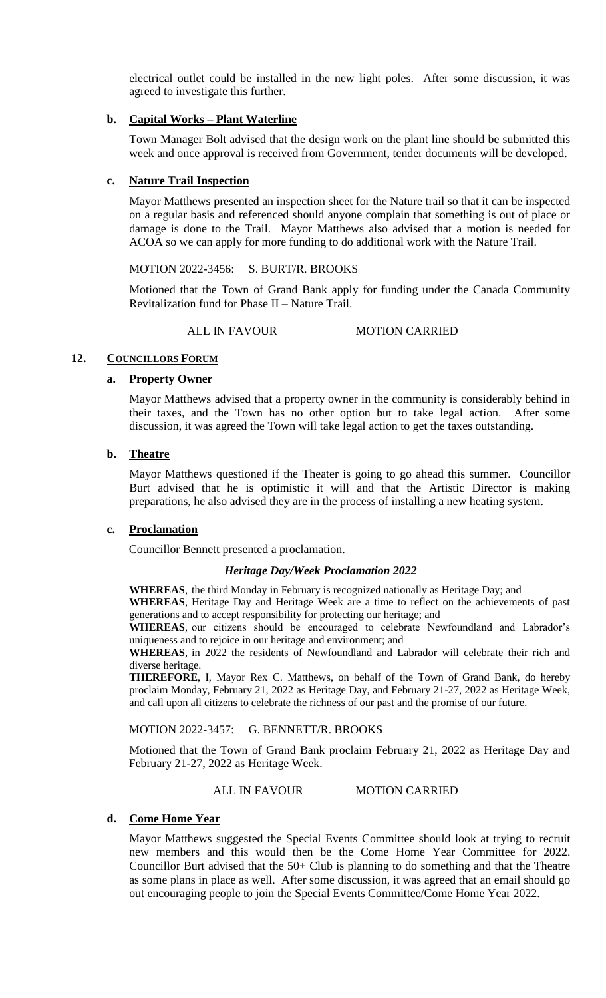electrical outlet could be installed in the new light poles. After some discussion, it was agreed to investigate this further.

## **b. Capital Works – Plant Waterline**

Town Manager Bolt advised that the design work on the plant line should be submitted this week and once approval is received from Government, tender documents will be developed.

### **c. Nature Trail Inspection**

Mayor Matthews presented an inspection sheet for the Nature trail so that it can be inspected on a regular basis and referenced should anyone complain that something is out of place or damage is done to the Trail. Mayor Matthews also advised that a motion is needed for ACOA so we can apply for more funding to do additional work with the Nature Trail.

### MOTION 2022-3456: S. BURT/R. BROOKS

Motioned that the Town of Grand Bank apply for funding under the Canada Community Revitalization fund for Phase II – Nature Trail.

# ALL IN FAVOUR MOTION CARRIED

### 12. **COUNCILLORS FORUM**

### **a. Property Owner**

Mayor Matthews advised that a property owner in the community is considerably behind in their taxes, and the Town has no other option but to take legal action. After some discussion, it was agreed the Town will take legal action to get the taxes outstanding.

# **b. Theatre**

Mayor Matthews questioned if the Theater is going to go ahead this summer. Councillor Burt advised that he is optimistic it will and that the Artistic Director is making preparations, he also advised they are in the process of installing a new heating system.

### **c. Proclamation**

Councillor Bennett presented a proclamation.

### *Heritage Day/Week Proclamation 2022*

**WHEREAS**, the third Monday in February is recognized nationally as Heritage Day; and

**WHEREAS**, Heritage Day and Heritage Week are a time to reflect on the achievements of past generations and to accept responsibility for protecting our heritage; and

**WHEREAS**, our citizens should be encouraged to celebrate Newfoundland and Labrador's uniqueness and to rejoice in our heritage and environment; and

**WHEREAS**, in 2022 the residents of Newfoundland and Labrador will celebrate their rich and diverse heritage.

**THEREFORE**, I, Mayor Rex C. Matthews, on behalf of the Town of Grand Bank, do hereby proclaim Monday, February 21, 2022 as Heritage Day, and February 21-27, 2022 as Heritage Week, and call upon all citizens to celebrate the richness of our past and the promise of our future.

MOTION 2022-3457: G. BENNETT/R. BROOKS

Motioned that the Town of Grand Bank proclaim February 21, 2022 as Heritage Day and February 21-27, 2022 as Heritage Week.

### ALL IN FAVOUR MOTION CARRIED

### **d. Come Home Year**

Mayor Matthews suggested the Special Events Committee should look at trying to recruit new members and this would then be the Come Home Year Committee for 2022. Councillor Burt advised that the 50+ Club is planning to do something and that the Theatre as some plans in place as well. After some discussion, it was agreed that an email should go out encouraging people to join the Special Events Committee/Come Home Year 2022.